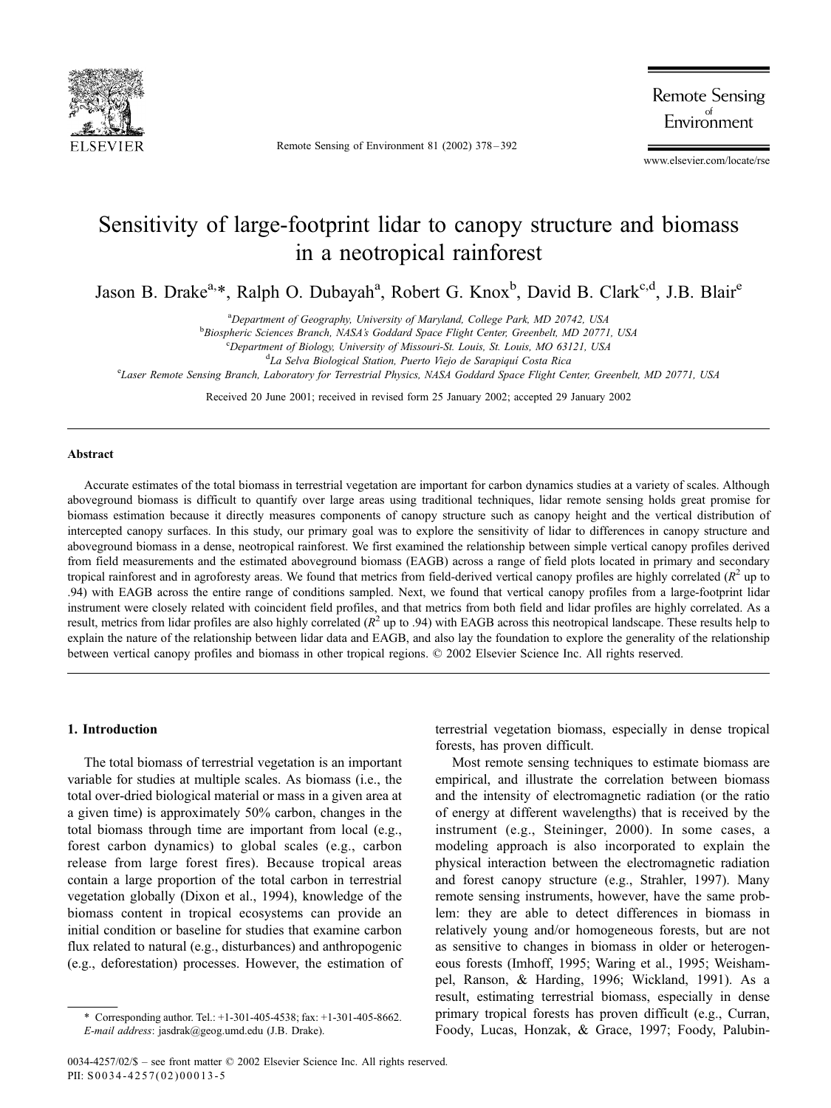

Remote Sensing of Environment 81 (2002) 378 – 392

**Remote Sensing** Environment

www.elsevier.com/locate/rse

# Sensitivity of large-footprint lidar to canopy structure and biomass in a neotropical rainforest

Jason B. Drake<sup>a,\*</sup>, Ralph O. Dubayah<sup>a</sup>, Robert G. Knox<sup>b</sup>, David B. Clark<sup>c,d</sup>, J.B. Blair<sup>e</sup>

<sup>a</sup>Department of Geography, University of Maryland, College Park, MD 20742, USA

**Biospheric Sciences Branch, NASA's Goddard Space Flight Center, Greenbelt, MD 20771, USA**<br>Congetwent of Biology University of Missouri St. Louis, St. Lewis, MO 63121, USA

 ${}^c$ Department of Biology, University of Missouri-St. Louis, St. Louis, MO 63121, USA

<sup>d</sup>La Selva Biological Station, Puerto Viejo de Sarapiquí Costa Rica

e Laser Remote Sensing Branch, Laboratory for Terrestrial Physics, NASA Goddard Space Flight Center, Greenbelt, MD 20771, USA

Received 20 June 2001; received in revised form 25 January 2002; accepted 29 January 2002

## Abstract

Accurate estimates of the total biomass in terrestrial vegetation are important for carbon dynamics studies at a variety of scales. Although aboveground biomass is difficult to quantify over large areas using traditional techniques, lidar remote sensing holds great promise for biomass estimation because it directly measures components of canopy structure such as canopy height and the vertical distribution of intercepted canopy surfaces. In this study, our primary goal was to explore the sensitivity of lidar to differences in canopy structure and aboveground biomass in a dense, neotropical rainforest. We first examined the relationship between simple vertical canopy profiles derived from field measurements and the estimated aboveground biomass (EAGB) across a range of field plots located in primary and secondary tropical rainforest and in agroforesty areas. We found that metrics from field-derived vertical canopy profiles are highly correlated  $(R^2 \text{ up to})$ .94) with EAGB across the entire range of conditions sampled. Next, we found that vertical canopy profiles from a large-footprint lidar instrument were closely related with coincident field profiles, and that metrics from both field and lidar profiles are highly correlated. As a result, metrics from lidar profiles are also highly correlated  $(R^2 \text{ up to } .94)$  with EAGB across this neotropical landscape. These results help to explain the nature of the relationship between lidar data and EAGB, and also lay the foundation to explore the generality of the relationship between vertical canopy profiles and biomass in other tropical regions.  $\oslash$  2002 Elsevier Science Inc. All rights reserved.

#### 1. Introduction

The total biomass of terrestrial vegetation is an important variable for studies at multiple scales. As biomass (i.e., the total over-dried biological material or mass in a given area at a given time) is approximately 50% carbon, changes in the total biomass through time are important from local (e.g., forest carbon dynamics) to global scales (e.g., carbon release from large forest fires). Because tropical areas contain a large proportion of the total carbon in terrestrial vegetation globally (Dixon et al., 1994), knowledge of the biomass content in tropical ecosystems can provide an initial condition or baseline for studies that examine carbon flux related to natural (e.g., disturbances) and anthropogenic (e.g., deforestation) processes. However, the estimation of terrestrial vegetation biomass, especially in dense tropical forests, has proven difficult.

Most remote sensing techniques to estimate biomass are empirical, and illustrate the correlation between biomass and the intensity of electromagnetic radiation (or the ratio of energy at different wavelengths) that is received by the instrument (e.g., Steininger, 2000). In some cases, a modeling approach is also incorporated to explain the physical interaction between the electromagnetic radiation and forest canopy structure (e.g., Strahler, 1997). Many remote sensing instruments, however, have the same problem: they are able to detect differences in biomass in relatively young and/or homogeneous forests, but are not as sensitive to changes in biomass in older or heterogeneous forests (Imhoff, 1995; Waring et al., 1995; Weishampel, Ranson, & Harding, 1996; Wickland, 1991). As a result, estimating terrestrial biomass, especially in dense primary tropical forests has proven difficult (e.g., Curran, Foody, Lucas, Honzak, & Grace, 1997; Foody, Palubin-

<sup>\*</sup> Corresponding author. Tel.: +1-301-405-4538; fax: +1-301-405-8662. E-mail address: jasdrak@geog.umd.edu (J.B. Drake).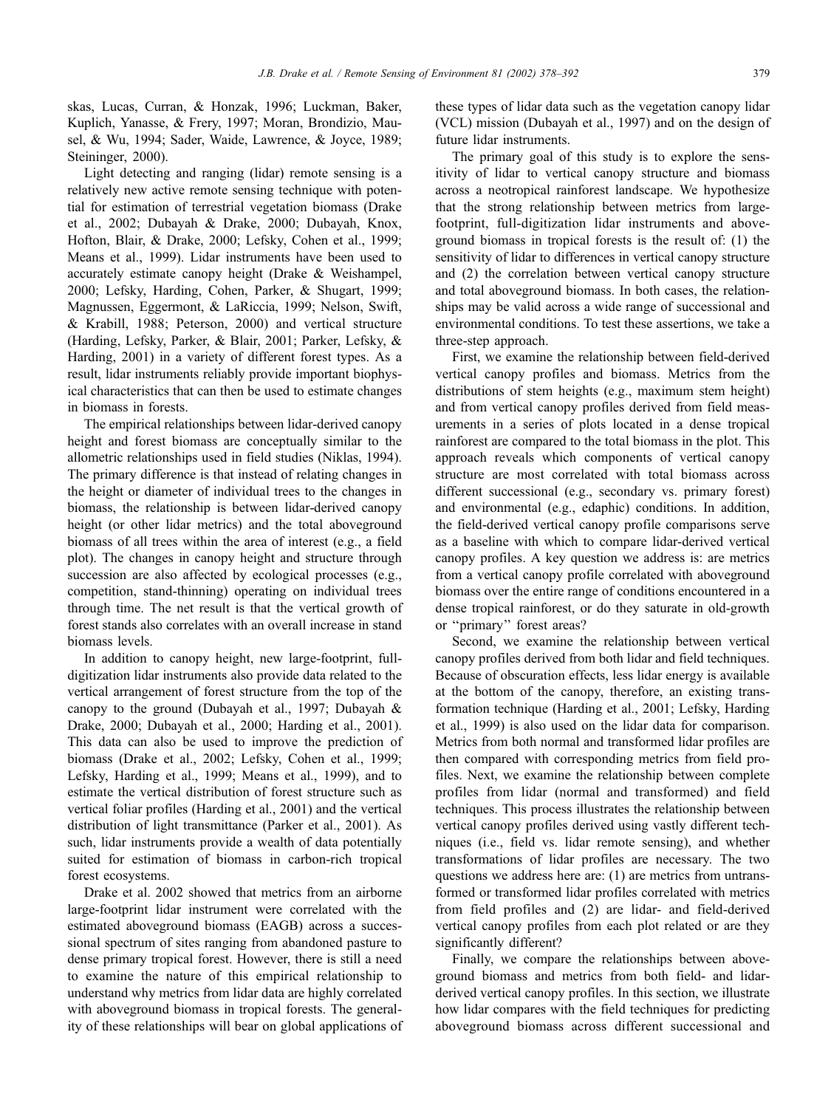skas, Lucas, Curran, & Honzak, 1996; Luckman, Baker, Kuplich, Yanasse, & Frery, 1997; Moran, Brondizio, Mausel, & Wu, 1994; Sader, Waide, Lawrence, & Joyce, 1989; Steininger, 2000).

Light detecting and ranging (lidar) remote sensing is a relatively new active remote sensing technique with potential for estimation of terrestrial vegetation biomass (Drake et al., 2002; Dubayah & Drake, 2000; Dubayah, Knox, Hofton, Blair, & Drake, 2000; Lefsky, Cohen et al., 1999; Means et al., 1999). Lidar instruments have been used to accurately estimate canopy height (Drake & Weishampel, 2000; Lefsky, Harding, Cohen, Parker, & Shugart, 1999; Magnussen, Eggermont, & LaRiccia, 1999; Nelson, Swift, & Krabill, 1988; Peterson, 2000) and vertical structure (Harding, Lefsky, Parker, & Blair, 2001; Parker, Lefsky, & Harding, 2001) in a variety of different forest types. As a result, lidar instruments reliably provide important biophysical characteristics that can then be used to estimate changes in biomass in forests.

The empirical relationships between lidar-derived canopy height and forest biomass are conceptually similar to the allometric relationships used in field studies (Niklas, 1994). The primary difference is that instead of relating changes in the height or diameter of individual trees to the changes in biomass, the relationship is between lidar-derived canopy height (or other lidar metrics) and the total aboveground biomass of all trees within the area of interest (e.g., a field plot). The changes in canopy height and structure through succession are also affected by ecological processes (e.g., competition, stand-thinning) operating on individual trees through time. The net result is that the vertical growth of forest stands also correlates with an overall increase in stand biomass levels.

In addition to canopy height, new large-footprint, fulldigitization lidar instruments also provide data related to the vertical arrangement of forest structure from the top of the canopy to the ground (Dubayah et al., 1997; Dubayah & Drake, 2000; Dubayah et al., 2000; Harding et al., 2001). This data can also be used to improve the prediction of biomass (Drake et al., 2002; Lefsky, Cohen et al., 1999; Lefsky, Harding et al., 1999; Means et al., 1999), and to estimate the vertical distribution of forest structure such as vertical foliar profiles (Harding et al., 2001) and the vertical distribution of light transmittance (Parker et al., 2001). As such, lidar instruments provide a wealth of data potentially suited for estimation of biomass in carbon-rich tropical forest ecosystems.

Drake et al. 2002 showed that metrics from an airborne large-footprint lidar instrument were correlated with the estimated aboveground biomass (EAGB) across a successional spectrum of sites ranging from abandoned pasture to dense primary tropical forest. However, there is still a need to examine the nature of this empirical relationship to understand why metrics from lidar data are highly correlated with aboveground biomass in tropical forests. The generality of these relationships will bear on global applications of these types of lidar data such as the vegetation canopy lidar (VCL) mission (Dubayah et al., 1997) and on the design of future lidar instruments.

The primary goal of this study is to explore the sensitivity of lidar to vertical canopy structure and biomass across a neotropical rainforest landscape. We hypothesize that the strong relationship between metrics from largefootprint, full-digitization lidar instruments and aboveground biomass in tropical forests is the result of: (1) the sensitivity of lidar to differences in vertical canopy structure and (2) the correlation between vertical canopy structure and total aboveground biomass. In both cases, the relationships may be valid across a wide range of successional and environmental conditions. To test these assertions, we take a three-step approach.

First, we examine the relationship between field-derived vertical canopy profiles and biomass. Metrics from the distributions of stem heights (e.g., maximum stem height) and from vertical canopy profiles derived from field measurements in a series of plots located in a dense tropical rainforest are compared to the total biomass in the plot. This approach reveals which components of vertical canopy structure are most correlated with total biomass across different successional (e.g., secondary vs. primary forest) and environmental (e.g., edaphic) conditions. In addition, the field-derived vertical canopy profile comparisons serve as a baseline with which to compare lidar-derived vertical canopy profiles. A key question we address is: are metrics from a vertical canopy profile correlated with aboveground biomass over the entire range of conditions encountered in a dense tropical rainforest, or do they saturate in old-growth or ''primary'' forest areas?

Second, we examine the relationship between vertical canopy profiles derived from both lidar and field techniques. Because of obscuration effects, less lidar energy is available at the bottom of the canopy, therefore, an existing transformation technique (Harding et al., 2001; Lefsky, Harding et al., 1999) is also used on the lidar data for comparison. Metrics from both normal and transformed lidar profiles are then compared with corresponding metrics from field profiles. Next, we examine the relationship between complete profiles from lidar (normal and transformed) and field techniques. This process illustrates the relationship between vertical canopy profiles derived using vastly different techniques (i.e., field vs. lidar remote sensing), and whether transformations of lidar profiles are necessary. The two questions we address here are: (1) are metrics from untransformed or transformed lidar profiles correlated with metrics from field profiles and (2) are lidar- and field-derived vertical canopy profiles from each plot related or are they significantly different?

Finally, we compare the relationships between aboveground biomass and metrics from both field- and lidarderived vertical canopy profiles. In this section, we illustrate how lidar compares with the field techniques for predicting aboveground biomass across different successional and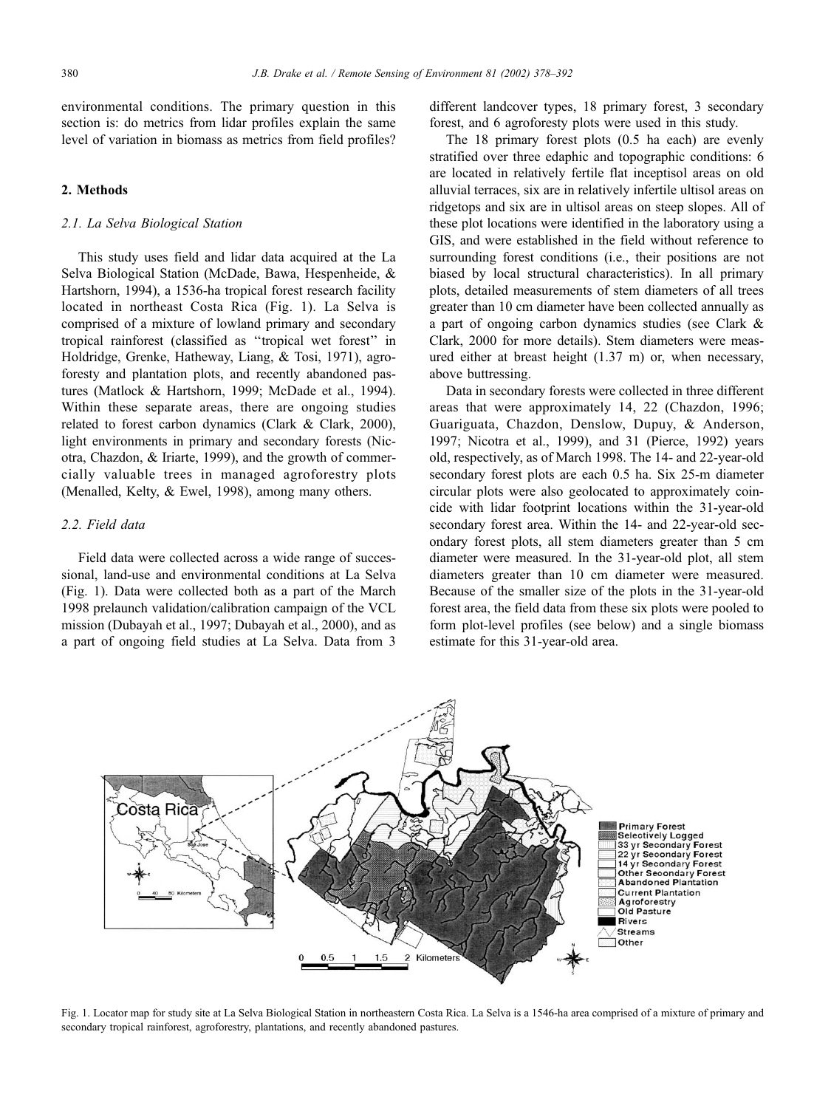environmental conditions. The primary question in this section is: do metrics from lidar profiles explain the same level of variation in biomass as metrics from field profiles?

# 2. Methods

## 2.1. La Selva Biological Station

This study uses field and lidar data acquired at the La Selva Biological Station (McDade, Bawa, Hespenheide, & Hartshorn, 1994), a 1536-ha tropical forest research facility located in northeast Costa Rica (Fig. 1). La Selva is comprised of a mixture of lowland primary and secondary tropical rainforest (classified as ''tropical wet forest'' in Holdridge, Grenke, Hatheway, Liang, & Tosi, 1971), agroforesty and plantation plots, and recently abandoned pastures (Matlock & Hartshorn, 1999; McDade et al., 1994). Within these separate areas, there are ongoing studies related to forest carbon dynamics (Clark & Clark, 2000), light environments in primary and secondary forests (Nicotra, Chazdon, & Iriarte, 1999), and the growth of commercially valuable trees in managed agroforestry plots (Menalled, Kelty, & Ewel, 1998), among many others.

#### 2.2. Field data

Field data were collected across a wide range of successional, land-use and environmental conditions at La Selva (Fig. 1). Data were collected both as a part of the March 1998 prelaunch validation/calibration campaign of the VCL mission (Dubayah et al., 1997; Dubayah et al., 2000), and as a part of ongoing field studies at La Selva. Data from 3

different landcover types, 18 primary forest, 3 secondary forest, and 6 agroforesty plots were used in this study.

The 18 primary forest plots (0.5 ha each) are evenly stratified over three edaphic and topographic conditions: 6 are located in relatively fertile flat inceptisol areas on old alluvial terraces, six are in relatively infertile ultisol areas on ridgetops and six are in ultisol areas on steep slopes. All of these plot locations were identified in the laboratory using a GIS, and were established in the field without reference to surrounding forest conditions (i.e., their positions are not biased by local structural characteristics). In all primary plots, detailed measurements of stem diameters of all trees greater than 10 cm diameter have been collected annually as a part of ongoing carbon dynamics studies (see Clark & Clark, 2000 for more details). Stem diameters were measured either at breast height (1.37 m) or, when necessary, above buttressing.

Data in secondary forests were collected in three different areas that were approximately 14, 22 (Chazdon, 1996; Guariguata, Chazdon, Denslow, Dupuy, & Anderson, 1997; Nicotra et al., 1999), and 31 (Pierce, 1992) years old, respectively, as of March 1998. The 14- and 22-year-old secondary forest plots are each 0.5 ha. Six 25-m diameter circular plots were also geolocated to approximately coincide with lidar footprint locations within the 31-year-old secondary forest area. Within the 14- and 22-year-old secondary forest plots, all stem diameters greater than 5 cm diameter were measured. In the 31-year-old plot, all stem diameters greater than 10 cm diameter were measured. Because of the smaller size of the plots in the 31-year-old forest area, the field data from these six plots were pooled to form plot-level profiles (see below) and a single biomass estimate for this 31-year-old area.



Fig. 1. Locator map for study site at La Selva Biological Station in northeastern Costa Rica. La Selva is a 1546-ha area comprised of a mixture of primary and secondary tropical rainforest, agroforestry, plantations, and recently abandoned pastures.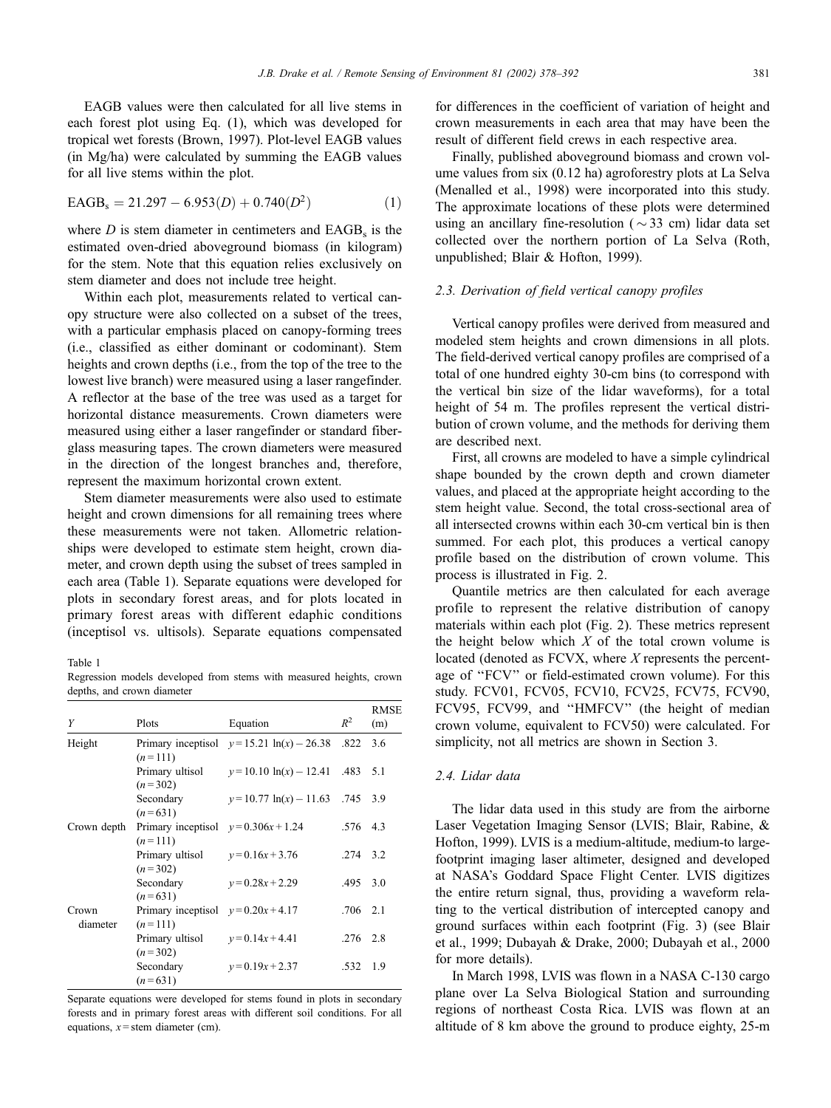EAGB values were then calculated for all live stems in each forest plot using Eq. (1), which was developed for tropical wet forests (Brown, 1997). Plot-level EAGB values (in Mg/ha) were calculated by summing the EAGB values for all live stems within the plot.

$$
EAGBs = 21.297 - 6.953(D) + 0.740(D2)
$$
 (1)

where  $D$  is stem diameter in centimeters and  $EAGB<sub>s</sub>$  is the estimated oven-dried aboveground biomass (in kilogram) for the stem. Note that this equation relies exclusively on stem diameter and does not include tree height.

Within each plot, measurements related to vertical canopy structure were also collected on a subset of the trees, with a particular emphasis placed on canopy-forming trees (i.e., classified as either dominant or codominant). Stem heights and crown depths (i.e., from the top of the tree to the lowest live branch) were measured using a laser rangefinder. A reflector at the base of the tree was used as a target for horizontal distance measurements. Crown diameters were measured using either a laser rangefinder or standard fiberglass measuring tapes. The crown diameters were measured in the direction of the longest branches and, therefore, represent the maximum horizontal crown extent.

Stem diameter measurements were also used to estimate height and crown dimensions for all remaining trees where these measurements were not taken. Allometric relationships were developed to estimate stem height, crown diameter, and crown depth using the subset of trees sampled in each area (Table 1). Separate equations were developed for plots in secondary forest areas, and for plots located in primary forest areas with different edaphic conditions (inceptisol vs. ultisols). Separate equations compensated

Table 1

Regression models developed from stems with measured heights, crown depths, and crown diameter

|                   |                                             |                                                        |                  | <b>RMSE</b> |
|-------------------|---------------------------------------------|--------------------------------------------------------|------------------|-------------|
| Y                 | Plots                                       | Equation                                               | $R^2$            | (m)         |
| Height            | $(n=111)$                                   | Primary inceptisol $y = 15.21 \ln(x) - 26.38$ .822 3.6 |                  |             |
|                   | Primary ultisol<br>$(n=302)$                | $y=10.10 \ln(x) - 12.41$ .483 5.1                      |                  |             |
|                   | Secondary<br>$(n=631)$                      | $y=10.77 \ln(x) - 11.63$ .745 3.9                      |                  |             |
| Crown depth       | Primary inceptisol<br>$(n=111)$             | $y=0.306x+1.24$                                        | .576             | 4.3         |
|                   | Primary ultisol $v=0.16x+3.76$<br>$(n=302)$ |                                                        | $.274$ 3.2       |             |
|                   | Secondary<br>$(n=631)$                      | $y=0.28x+2.29$                                         | $.495 \quad 3.0$ |             |
| Crown<br>diameter | Primary inceptisol<br>$(n=111)$             | $v = 0.20x + 4.17$                                     | $.706$ 2.1       |             |
|                   | Primary ultisol<br>$(n=302)$                | $v = 0.14x + 4.41$                                     | .276             | 2.8         |
|                   | Secondary<br>$(n=631)$                      | $v = 0.19x + 2.37$                                     | .532             | 1.9         |

Separate equations were developed for stems found in plots in secondary forests and in primary forest areas with different soil conditions. For all equations,  $x =$  stem diameter (cm).

for differences in the coefficient of variation of height and crown measurements in each area that may have been the result of different field crews in each respective area.

Finally, published aboveground biomass and crown volume values from six (0.12 ha) agroforestry plots at La Selva (Menalled et al., 1998) were incorporated into this study. The approximate locations of these plots were determined using an ancillary fine-resolution ( $\sim$ 33 cm) lidar data set collected over the northern portion of La Selva (Roth, unpublished; Blair & Hofton, 1999).

#### 2.3. Derivation of field vertical canopy profiles

Vertical canopy profiles were derived from measured and modeled stem heights and crown dimensions in all plots. The field-derived vertical canopy profiles are comprised of a total of one hundred eighty 30-cm bins (to correspond with the vertical bin size of the lidar waveforms), for a total height of 54 m. The profiles represent the vertical distribution of crown volume, and the methods for deriving them are described next.

First, all crowns are modeled to have a simple cylindrical shape bounded by the crown depth and crown diameter values, and placed at the appropriate height according to the stem height value. Second, the total cross-sectional area of all intersected crowns within each 30-cm vertical bin is then summed. For each plot, this produces a vertical canopy profile based on the distribution of crown volume. This process is illustrated in Fig. 2.

Quantile metrics are then calculated for each average profile to represent the relative distribution of canopy materials within each plot (Fig. 2). These metrics represent the height below which  $X$  of the total crown volume is located (denoted as FCVX, where X represents the percentage of ''FCV'' or field-estimated crown volume). For this study. FCV01, FCV05, FCV10, FCV25, FCV75, FCV90, FCV95, FCV99, and ''HMFCV'' (the height of median crown volume, equivalent to FCV50) were calculated. For simplicity, not all metrics are shown in Section 3.

#### 2.4. Lidar data

The lidar data used in this study are from the airborne Laser Vegetation Imaging Sensor (LVIS; Blair, Rabine, & Hofton, 1999). LVIS is a medium-altitude, medium-to largefootprint imaging laser altimeter, designed and developed at NASA's Goddard Space Flight Center. LVIS digitizes the entire return signal, thus, providing a waveform relating to the vertical distribution of intercepted canopy and ground surfaces within each footprint (Fig. 3) (see Blair et al., 1999; Dubayah & Drake, 2000; Dubayah et al., 2000 for more details).

In March 1998, LVIS was flown in a NASA C-130 cargo plane over La Selva Biological Station and surrounding regions of northeast Costa Rica. LVIS was flown at an altitude of 8 km above the ground to produce eighty, 25-m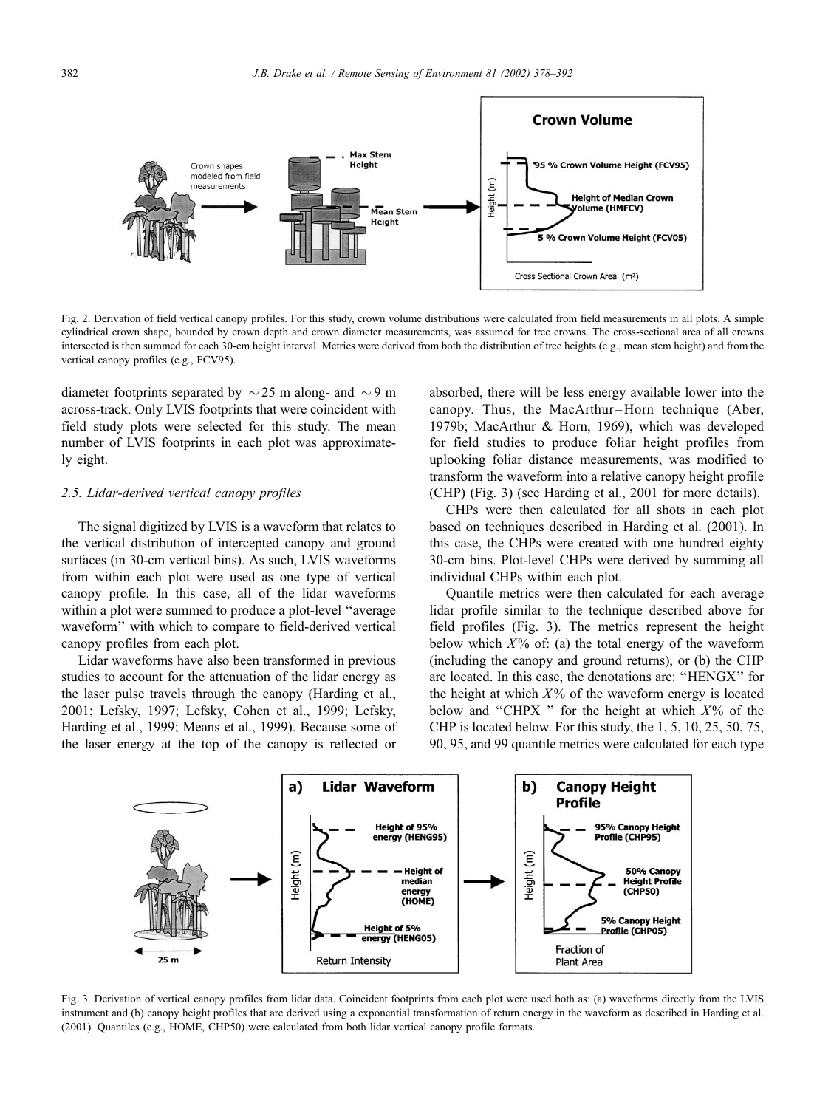

Fig. 2. Derivation of field vertical canopy profiles. For this study, crown volume distributions were calculated from field measurements in all plots. A simple cylindrical crown shape, bounded by crown depth and crown diameter measurements, was assumed for tree crowns. The cross-sectional area of all crowns intersected is then summed for each 30-cm height interval. Metrics were derived from both the distribution of tree heights (e.g., mean stem height) and from the vertical canopy profiles (e.g., FCV95).

diameter footprints separated by  $\sim$  25 m along- and  $\sim$  9 m across-track. Only LVIS footprints that were coincident with field study plots were selected for this study. The mean number of LVIS footprints in each plot was approximately eight.

#### 2.5. Lidar-derived vertical canopy profiles

The signal digitized by LVIS is a waveform that relates to the vertical distribution of intercepted canopy and ground surfaces (in 30-cm vertical bins). As such, LVIS waveforms from within each plot were used as one type of vertical canopy profile. In this case, all of the lidar waveforms within a plot were summed to produce a plot-level ''average waveform'' with which to compare to field-derived vertical canopy profiles from each plot.

Lidar waveforms have also been transformed in previous studies to account for the attenuation of the lidar energy as the laser pulse travels through the canopy (Harding et al., 2001; Lefsky, 1997; Lefsky, Cohen et al., 1999; Lefsky, Harding et al., 1999; Means et al., 1999). Because some of the laser energy at the top of the canopy is reflected or

absorbed, there will be less energy available lower into the canopy. Thus, the MacArthur – Horn technique (Aber, 1979b; MacArthur & Horn, 1969), which was developed for field studies to produce foliar height profiles from uplooking foliar distance measurements, was modified to transform the waveform into a relative canopy height profile (CHP) (Fig. 3) (see Harding et al., 2001 for more details).

CHPs were then calculated for all shots in each plot based on techniques described in Harding et al. (2001). In this case, the CHPs were created with one hundred eighty 30-cm bins. Plot-level CHPs were derived by summing all individual CHPs within each plot.

Quantile metrics were then calculated for each average lidar profile similar to the technique described above for field profiles (Fig. 3). The metrics represent the height below which  $X\%$  of: (a) the total energy of the waveform (including the canopy and ground returns), or (b) the CHP are located. In this case, the denotations are: ''HENGX'' for the height at which  $X\%$  of the waveform energy is located below and "CHPX" for the height at which  $X\%$  of the CHP is located below. For this study, the 1, 5, 10, 25, 50, 75, 90, 95, and 99 quantile metrics were calculated for each type



Fig. 3. Derivation of vertical canopy profiles from lidar data. Coincident footprints from each plot were used both as: (a) waveforms directly from the LVIS instrument and (b) canopy height profiles that are derived using a exponential transformation of return energy in the waveform as described in Harding et al. (2001). Quantiles (e.g., HOME, CHP50) were calculated from both lidar vertical canopy profile formats.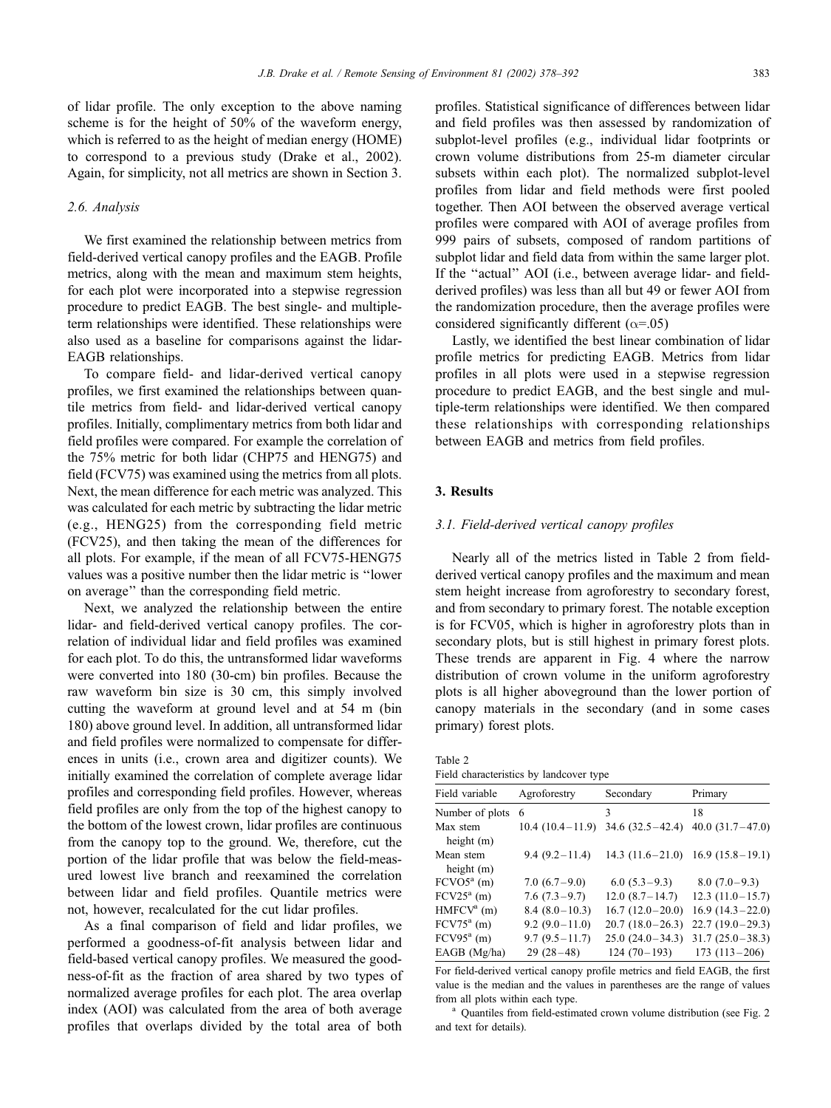of lidar profile. The only exception to the above naming scheme is for the height of 50% of the waveform energy, which is referred to as the height of median energy (HOME) to correspond to a previous study (Drake et al., 2002). Again, for simplicity, not all metrics are shown in Section 3.

#### 2.6. Analysis

We first examined the relationship between metrics from field-derived vertical canopy profiles and the EAGB. Profile metrics, along with the mean and maximum stem heights, for each plot were incorporated into a stepwise regression procedure to predict EAGB. The best single- and multipleterm relationships were identified. These relationships were also used as a baseline for comparisons against the lidar-EAGB relationships.

To compare field- and lidar-derived vertical canopy profiles, we first examined the relationships between quantile metrics from field- and lidar-derived vertical canopy profiles. Initially, complimentary metrics from both lidar and field profiles were compared. For example the correlation of the 75% metric for both lidar (CHP75 and HENG75) and field (FCV75) was examined using the metrics from all plots. Next, the mean difference for each metric was analyzed. This was calculated for each metric by subtracting the lidar metric (e.g., HENG25) from the corresponding field metric (FCV25), and then taking the mean of the differences for all plots. For example, if the mean of all FCV75-HENG75 values was a positive number then the lidar metric is ''lower on average'' than the corresponding field metric.

Next, we analyzed the relationship between the entire lidar- and field-derived vertical canopy profiles. The correlation of individual lidar and field profiles was examined for each plot. To do this, the untransformed lidar waveforms were converted into 180 (30-cm) bin profiles. Because the raw waveform bin size is 30 cm, this simply involved cutting the waveform at ground level and at 54 m (bin 180) above ground level. In addition, all untransformed lidar and field profiles were normalized to compensate for differences in units (i.e., crown area and digitizer counts). We initially examined the correlation of complete average lidar profiles and corresponding field profiles. However, whereas field profiles are only from the top of the highest canopy to the bottom of the lowest crown, lidar profiles are continuous from the canopy top to the ground. We, therefore, cut the portion of the lidar profile that was below the field-measured lowest live branch and reexamined the correlation between lidar and field profiles. Quantile metrics were not, however, recalculated for the cut lidar profiles.

As a final comparison of field and lidar profiles, we performed a goodness-of-fit analysis between lidar and field-based vertical canopy profiles. We measured the goodness-of-fit as the fraction of area shared by two types of normalized average profiles for each plot. The area overlap index (AOI) was calculated from the area of both average profiles that overlaps divided by the total area of both

profiles. Statistical significance of differences between lidar and field profiles was then assessed by randomization of subplot-level profiles (e.g., individual lidar footprints or crown volume distributions from 25-m diameter circular subsets within each plot). The normalized subplot-level profiles from lidar and field methods were first pooled together. Then AOI between the observed average vertical profiles were compared with AOI of average profiles from 999 pairs of subsets, composed of random partitions of subplot lidar and field data from within the same larger plot. If the ''actual'' AOI (i.e., between average lidar- and fieldderived profiles) was less than all but 49 or fewer AOI from the randomization procedure, then the average profiles were considered significantly different ( $\alpha$ =.05)

Lastly, we identified the best linear combination of lidar profile metrics for predicting EAGB. Metrics from lidar profiles in all plots were used in a stepwise regression procedure to predict EAGB, and the best single and multiple-term relationships were identified. We then compared these relationships with corresponding relationships between EAGB and metrics from field profiles.

## 3. Results

#### 3.1. Field-derived vertical canopy profiles

Nearly all of the metrics listed in Table 2 from fieldderived vertical canopy profiles and the maximum and mean stem height increase from agroforestry to secondary forest, and from secondary to primary forest. The notable exception is for FCV05, which is higher in agroforestry plots than in secondary plots, but is still highest in primary forest plots. These trends are apparent in Fig. 4 where the narrow distribution of crown volume in the uniform agroforestry plots is all higher aboveground than the lower portion of canopy materials in the secondary (and in some cases primary) forest plots.

| Table<br>۰.<br>×<br>٧<br>× |  |
|----------------------------|--|
|----------------------------|--|

Field characteristics by landcover type

| Field variable  | Agroforestry      | Secondary           | Primary                                 |
|-----------------|-------------------|---------------------|-----------------------------------------|
| Number of plots | 6                 | 3                   | 18                                      |
| Max stem        | $10.4(10.4-11.9)$ | $34.6(32.5 - 42.4)$ | 40.0 $(31.7-47.0)$                      |
| height $(m)$    |                   |                     |                                         |
| Mean stem       | $9.4(9.2 - 11.4)$ |                     | $14.3$ $(11.6-21.0)$ 16.9 $(15.8-19.1)$ |
| height $(m)$    |                   |                     |                                         |
| $FCVO5a$ (m)    | $7.0(6.7-9.0)$    | $6.0(5.3-9.3)$      | $8.0(7.0-9.3)$                          |
| $FCV25a$ (m)    | $7.6(7.3-9.7)$    | $12.0(8.7 - 14.7)$  | $12.3(11.0-15.7)$                       |
| $HMFCVa$ (m)    | $8.4(8.0-10.3)$   | $16.7(12.0-20.0)$   | $16.9(14.3-22.0)$                       |
| $FCV75a$ (m)    | $9.2(9.0-11.0)$   | $20.7(18.0-26.3)$   | $22.7(19.0-29.3)$                       |
| $FCV95a$ (m)    | $9.7(9.5 - 11.7)$ | $25.0(24.0-34.3)$   | $31.7(25.0-38.3)$                       |
| EAGB (Mg/ha)    | $29(28-48)$       | $124(70-193)$       | $173(113-206)$                          |

For field-derived vertical canopy profile metrics and field EAGB, the first value is the median and the values in parentheses are the range of values from all plots within each type.<br>a Quantiles from field-estimated crown volume distribution (see Fig. 2

and text for details).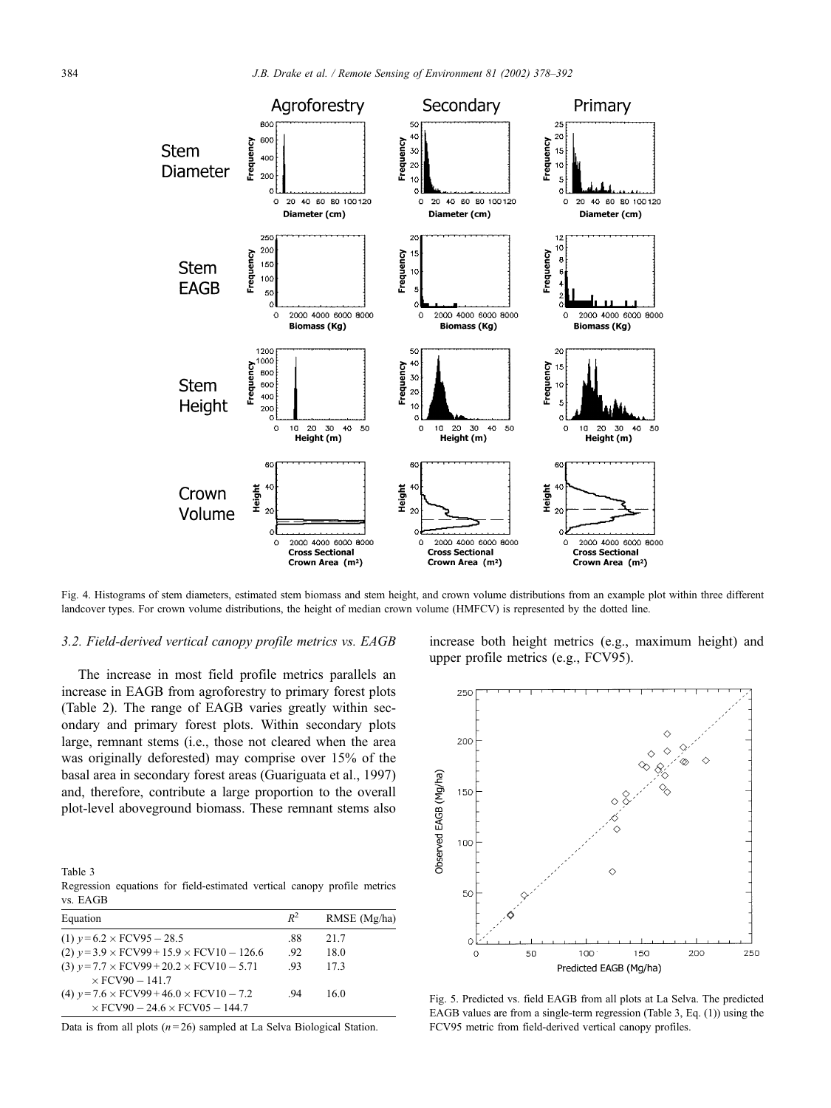

Fig. 4. Histograms of stem diameters, estimated stem biomass and stem height, and crown volume distributions from an example plot within three different landcover types. For crown volume distributions, the height of median crown volume (HMFCV) is represented by the dotted line.

#### 3.2. Field-derived vertical canopy profile metrics vs. EAGB

The increase in most field profile metrics parallels an increase in EAGB from agroforestry to primary forest plots (Table 2). The range of EAGB varies greatly within secondary and primary forest plots. Within secondary plots large, remnant stems (i.e., those not cleared when the area was originally deforested) may comprise over 15% of the basal area in secondary forest areas (Guariguata et al., 1997) and, therefore, contribute a large proportion to the overall plot-level aboveground biomass. These remnant stems also

Table 3 Regression equations for field-estimated vertical canopy profile metrics vs. EAGB

| Equation                                               | $R^2$ | RMSE (Mg/ha) |
|--------------------------------------------------------|-------|--------------|
| (1) $y=6.2 \times$ FCV95 - 28.5                        | .88   | 21.7         |
| (2) $y=3.9 \times$ FCV99 + 15.9 $\times$ FCV10 - 126.6 | -92   | 18.0         |
| $(3)$ y = 7.7 × FCV99 + 20.2 × FCV10 - 5.71            | -93   | 173          |
| $\times$ FCV90 - 141.7                                 |       |              |
| (4) $v = 7.6 \times$ FCV99 + 46.0 $\times$ FCV10 - 7.2 | -94   | 160          |
| $\times$ FCV90 – 24.6 $\times$ FCV05 – 144.7           |       |              |

Data is from all plots  $(n=26)$  sampled at La Selva Biological Station.

increase both height metrics (e.g., maximum height) and upper profile metrics (e.g., FCV95).



Fig. 5. Predicted vs. field EAGB from all plots at La Selva. The predicted EAGB values are from a single-term regression (Table 3, Eq. (1)) using the FCV95 metric from field-derived vertical canopy profiles.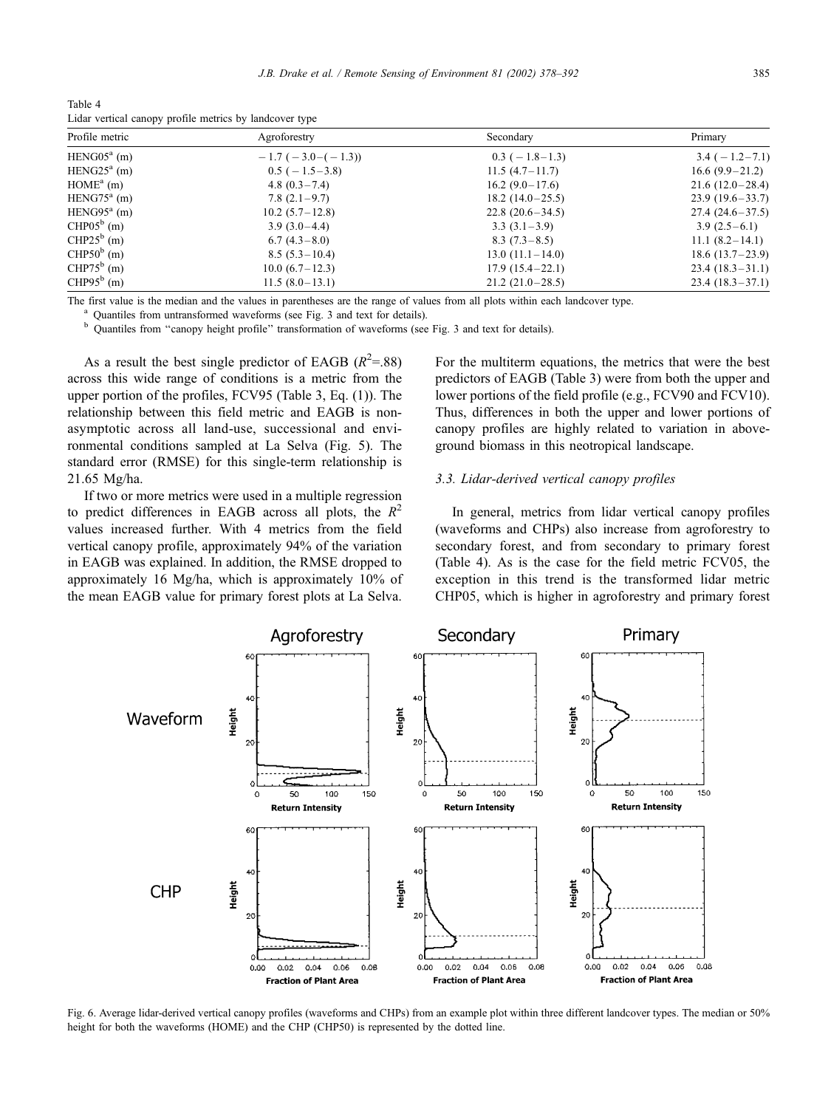Table 4 Lidar vertical canopy profile metrics by landcover type

| Profile metric | Agroforestry         | Secondary            | Primary             |
|----------------|----------------------|----------------------|---------------------|
| $HENG05a$ (m)  | $-1.7(-3.0-(-1.3))$  | $0.3$ ( $-1.8-1.3$ ) | $3.4(-1.2-7.1)$     |
| $HENG25^a$ (m) | $0.5$ ( $-1.5-3.8$ ) | $11.5(4.7-11.7)$     | $16.6(9.9-21.2)$    |
| $HOMEa$ (m)    | 4.8 $(0.3 - 7.4)$    | $16.2 (9.0-17.6)$    | $21.6(12.0-28.4)$   |
| $HENG75a$ (m)  | $7.8(2.1-9.7)$       | $18.2(14.0-25.5)$    | $23.9(19.6-33.7)$   |
| $HENG95a$ (m)  | $10.2 (5.7 - 12.8)$  | $22.8(20.6-34.5)$    | $27.4(24.6-37.5)$   |
| $CHP05b$ (m)   | $3.9(3.0-4.4)$       | $3.3(3.1-3.9)$       | $3.9(2.5-6.1)$      |
| $CHP25b$ (m)   | $6.7(4.3-8.0)$       | $8.3(7.3-8.5)$       | $11.1 (8.2 - 14.1)$ |
| $CHP50b$ (m)   | $8.5(5.3-10.4)$      | $13.0(11.1-14.0)$    | $18.6(13.7-23.9)$   |
| $CHP75b$ (m)   | $10.0 (6.7 - 12.3)$  | $17.9(15.4-22.1)$    | $23.4(18.3-31.1)$   |
| $CHP95b$ (m)   | $11.5(8.0-13.1)$     | $21.2(21.0-28.5)$    | $23.4(18.3-37.1)$   |

The first value is the median and the values in parentheses are the range of values from all plots within each landcover type.<br>  $^a$  Quantiles from untransformed waveforms (see Fig. 3 and text for details).<br>  $^b$  Quantile

As a result the best single predictor of EAGB  $(R^2 = .88)$ across this wide range of conditions is a metric from the upper portion of the profiles, FCV95 (Table 3, Eq. (1)). The relationship between this field metric and EAGB is nonasymptotic across all land-use, successional and environmental conditions sampled at La Selva (Fig. 5). The standard error (RMSE) for this single-term relationship is 21.65 Mg/ha.

If two or more metrics were used in a multiple regression to predict differences in EAGB across all plots, the  $R^2$ values increased further. With 4 metrics from the field vertical canopy profile, approximately 94% of the variation in EAGB was explained. In addition, the RMSE dropped to approximately 16 Mg/ha, which is approximately 10% of the mean EAGB value for primary forest plots at La Selva. For the multiterm equations, the metrics that were the best predictors of EAGB (Table 3) were from both the upper and lower portions of the field profile (e.g., FCV90 and FCV10). Thus, differences in both the upper and lower portions of canopy profiles are highly related to variation in aboveground biomass in this neotropical landscape.

## 3.3. Lidar-derived vertical canopy profiles

In general, metrics from lidar vertical canopy profiles (waveforms and CHPs) also increase from agroforestry to secondary forest, and from secondary to primary forest (Table 4). As is the case for the field metric FCV05, the exception in this trend is the transformed lidar metric CHP05, which is higher in agroforestry and primary forest



Fig. 6. Average lidar-derived vertical canopy profiles (waveforms and CHPs) from an example plot within three different landcover types. The median or 50% height for both the waveforms (HOME) and the CHP (CHP50) is represented by the dotted line.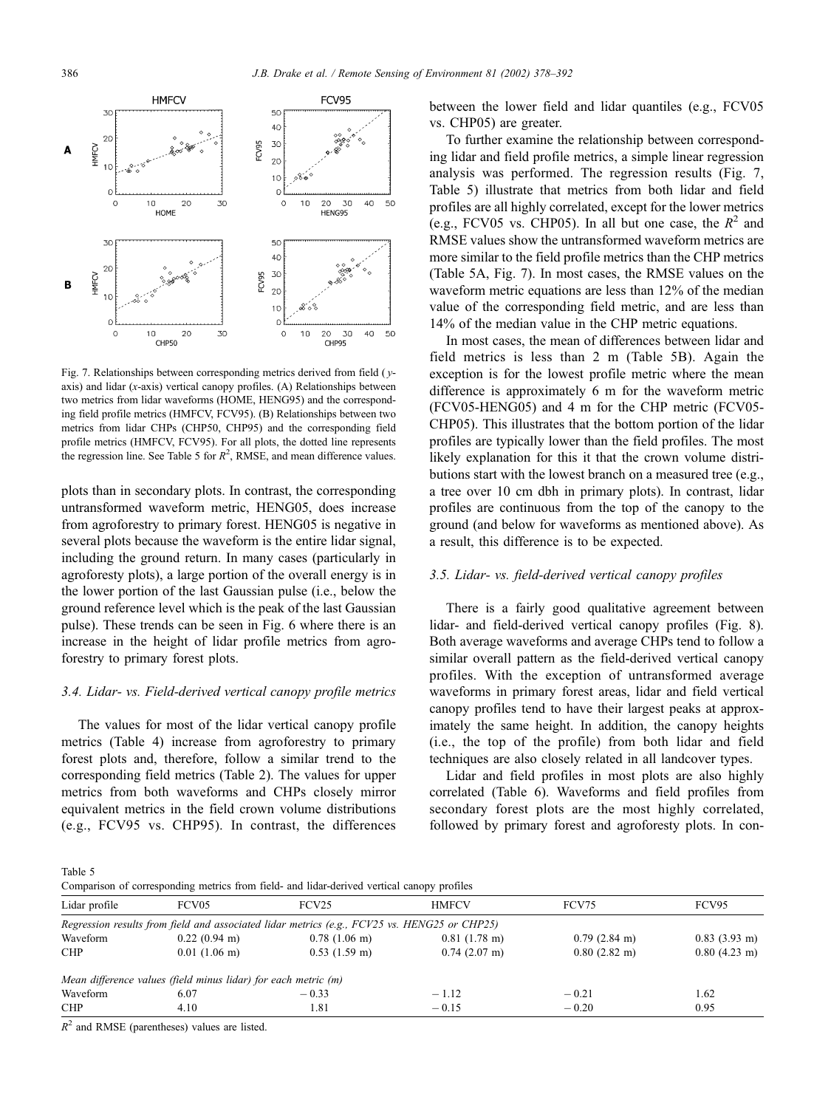

Fig. 7. Relationships between corresponding metrics derived from field ( yaxis) and lidar  $(x$ -axis) vertical canopy profiles.  $(A)$  Relationships between two metrics from lidar waveforms (HOME, HENG95) and the corresponding field profile metrics (HMFCV, FCV95). (B) Relationships between two metrics from lidar CHPs (CHP50, CHP95) and the corresponding field profile metrics (HMFCV, FCV95). For all plots, the dotted line represents the regression line. See Table 5 for  $R^2$ , RMSE, and mean difference values.

plots than in secondary plots. In contrast, the corresponding untransformed waveform metric, HENG05, does increase from agroforestry to primary forest. HENG05 is negative in several plots because the waveform is the entire lidar signal, including the ground return. In many cases (particularly in agroforesty plots), a large portion of the overall energy is in the lower portion of the last Gaussian pulse (i.e., below the ground reference level which is the peak of the last Gaussian pulse). These trends can be seen in Fig. 6 where there is an increase in the height of lidar profile metrics from agroforestry to primary forest plots.

## 3.4. Lidar- vs. Field-derived vertical canopy profile metrics

The values for most of the lidar vertical canopy profile metrics (Table 4) increase from agroforestry to primary forest plots and, therefore, follow a similar trend to the corresponding field metrics (Table 2). The values for upper metrics from both waveforms and CHPs closely mirror equivalent metrics in the field crown volume distributions (e.g., FCV95 vs. CHP95). In contrast, the differences

between the lower field and lidar quantiles (e.g., FCV05 vs. CHP05) are greater.

To further examine the relationship between corresponding lidar and field profile metrics, a simple linear regression analysis was performed. The regression results (Fig. 7, Table 5) illustrate that metrics from both lidar and field profiles are all highly correlated, except for the lower metrics (e.g., FCV05 vs. CHP05). In all but one case, the  $R^2$  and RMSE values show the untransformed waveform metrics are more similar to the field profile metrics than the CHP metrics (Table 5A, Fig. 7). In most cases, the RMSE values on the waveform metric equations are less than 12% of the median value of the corresponding field metric, and are less than 14% of the median value in the CHP metric equations.

In most cases, the mean of differences between lidar and field metrics is less than 2 m (Table 5B). Again the exception is for the lowest profile metric where the mean difference is approximately 6 m for the waveform metric (FCV05-HENG05) and 4 m for the CHP metric (FCV05- CHP05). This illustrates that the bottom portion of the lidar profiles are typically lower than the field profiles. The most likely explanation for this it that the crown volume distributions start with the lowest branch on a measured tree (e.g., a tree over 10 cm dbh in primary plots). In contrast, lidar profiles are continuous from the top of the canopy to the ground (and below for waveforms as mentioned above). As a result, this difference is to be expected.

#### 3.5. Lidar- vs. field-derived vertical canopy profiles

There is a fairly good qualitative agreement between lidar- and field-derived vertical canopy profiles (Fig. 8). Both average waveforms and average CHPs tend to follow a similar overall pattern as the field-derived vertical canopy profiles. With the exception of untransformed average waveforms in primary forest areas, lidar and field vertical canopy profiles tend to have their largest peaks at approximately the same height. In addition, the canopy heights (i.e., the top of the profile) from both lidar and field techniques are also closely related in all landcover types.

Lidar and field profiles in most plots are also highly correlated (Table 6). Waveforms and field profiles from secondary forest plots are the most highly correlated, followed by primary forest and agroforesty plots. In con-

Table 5

Comparison of corresponding metrics from field- and lidar-derived vertical canopy profiles

|               |                                                                | companion of corresponding memos nom new and num derived vernear early promes                |                        |                 |                 |
|---------------|----------------------------------------------------------------|----------------------------------------------------------------------------------------------|------------------------|-----------------|-----------------|
| Lidar profile | FCV <sub>05</sub>                                              | FCV25                                                                                        | <b>HMFCV</b>           | FCV75           | FCV95           |
|               |                                                                | Regression results from field and associated lidar metrics (e.g., FCV25 vs. HENG25 or CHP25) |                        |                 |                 |
| Waveform      | $0.22(0.94)$ m)                                                | $0.78(1.06)$ m)                                                                              | $0.81(1.78 \text{ m})$ | $0.79(2.84)$ m) | $0.83(3.93)$ m) |
| <b>CHP</b>    | $0.01(1.06)$ m)                                                | $0.53$ (1.59 m)                                                                              | $0.74$ (2.07 m)        | $0.80(2.82)$ m) | $0.80(4.23)$ m) |
|               | Mean difference values (field minus lidar) for each metric (m) |                                                                                              |                        |                 |                 |
| Waveform      | 6.07                                                           | $-0.33$                                                                                      | $-1.12$                | $-0.21$         | 1.62            |
| <b>CHP</b>    | 4.10                                                           | 1.81                                                                                         | $-0.15$                | $-0.20$         | 0.95            |
|               |                                                                |                                                                                              |                        |                 |                 |

 $R<sup>2</sup>$  and RMSE (parentheses) values are listed.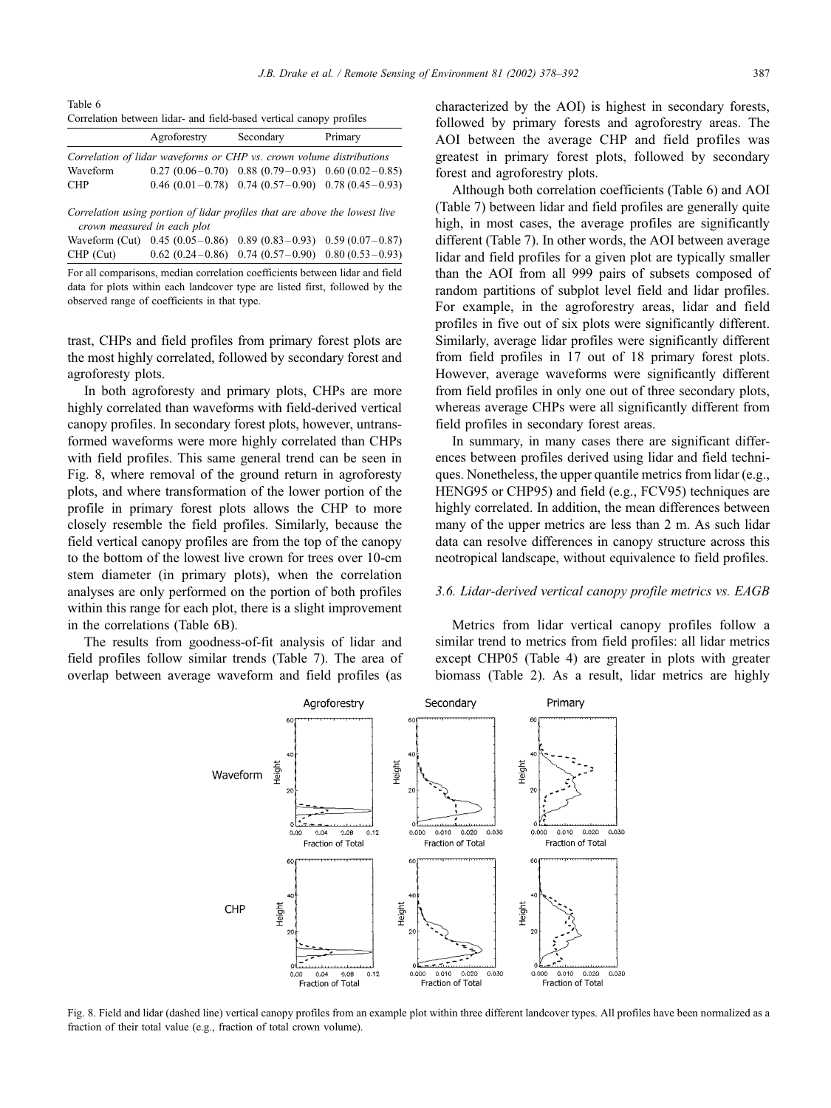Table 6 Correlation between lidar- and field-based vertical canopy profiles

|            | Agroforestry                                                         | Secondary                                               | Primary |
|------------|----------------------------------------------------------------------|---------------------------------------------------------|---------|
|            | Correlation of lidar waveforms or CHP vs. crown volume distributions |                                                         |         |
| Waveform   |                                                                      | $0.27(0.06-0.70)$ 0.88 $(0.79-0.93)$ 0.60 $(0.02-0.85)$ |         |
| <b>CHP</b> |                                                                      | $0.46(0.01-0.78)$ 0.74 $(0.57-0.90)$ 0.78 $(0.45-0.93)$ |         |

Correlation using portion of lidar profiles that are above the lowest live crown measured in each plot

|             | Waveform (Cut) $0.45$ (0.05-0.86) 0.89 (0.83-0.93) 0.59 (0.07-0.87) |                                                            |  |
|-------------|---------------------------------------------------------------------|------------------------------------------------------------|--|
| $CHP$ (Cut) |                                                                     | $0.62$ (0.24 - 0.86) 0.74 (0.57 - 0.90) 0.80 (0.53 - 0.93) |  |

For all comparisons, median correlation coefficients between lidar and field data for plots within each landcover type are listed first, followed by the observed range of coefficients in that type.

trast, CHPs and field profiles from primary forest plots are the most highly correlated, followed by secondary forest and agroforesty plots.

In both agroforesty and primary plots, CHPs are more highly correlated than waveforms with field-derived vertical canopy profiles. In secondary forest plots, however, untransformed waveforms were more highly correlated than CHPs with field profiles. This same general trend can be seen in Fig. 8, where removal of the ground return in agroforesty plots, and where transformation of the lower portion of the profile in primary forest plots allows the CHP to more closely resemble the field profiles. Similarly, because the field vertical canopy profiles are from the top of the canopy to the bottom of the lowest live crown for trees over 10-cm stem diameter (in primary plots), when the correlation analyses are only performed on the portion of both profiles within this range for each plot, there is a slight improvement in the correlations (Table 6B).

The results from goodness-of-fit analysis of lidar and field profiles follow similar trends (Table 7). The area of overlap between average waveform and field profiles (as

characterized by the AOI) is highest in secondary forests, followed by primary forests and agroforestry areas. The AOI between the average CHP and field profiles was greatest in primary forest plots, followed by secondary forest and agroforestry plots.

Although both correlation coefficients (Table 6) and AOI (Table 7) between lidar and field profiles are generally quite high, in most cases, the average profiles are significantly different (Table 7). In other words, the AOI between average lidar and field profiles for a given plot are typically smaller than the AOI from all 999 pairs of subsets composed of random partitions of subplot level field and lidar profiles. For example, in the agroforestry areas, lidar and field profiles in five out of six plots were significantly different. Similarly, average lidar profiles were significantly different from field profiles in 17 out of 18 primary forest plots. However, average waveforms were significantly different from field profiles in only one out of three secondary plots, whereas average CHPs were all significantly different from field profiles in secondary forest areas.

In summary, in many cases there are significant differences between profiles derived using lidar and field techniques. Nonetheless, the upper quantile metrics from lidar (e.g., HENG95 or CHP95) and field (e.g., FCV95) techniques are highly correlated. In addition, the mean differences between many of the upper metrics are less than 2 m. As such lidar data can resolve differences in canopy structure across this neotropical landscape, without equivalence to field profiles.

#### 3.6. Lidar-derived vertical canopy profile metrics vs. EAGB

Metrics from lidar vertical canopy profiles follow a similar trend to metrics from field profiles: all lidar metrics except CHP05 (Table 4) are greater in plots with greater biomass (Table 2). As a result, lidar metrics are highly



Fig. 8. Field and lidar (dashed line) vertical canopy profiles from an example plot within three different landcover types. All profiles have been normalized as a fraction of their total value (e.g., fraction of total crown volume).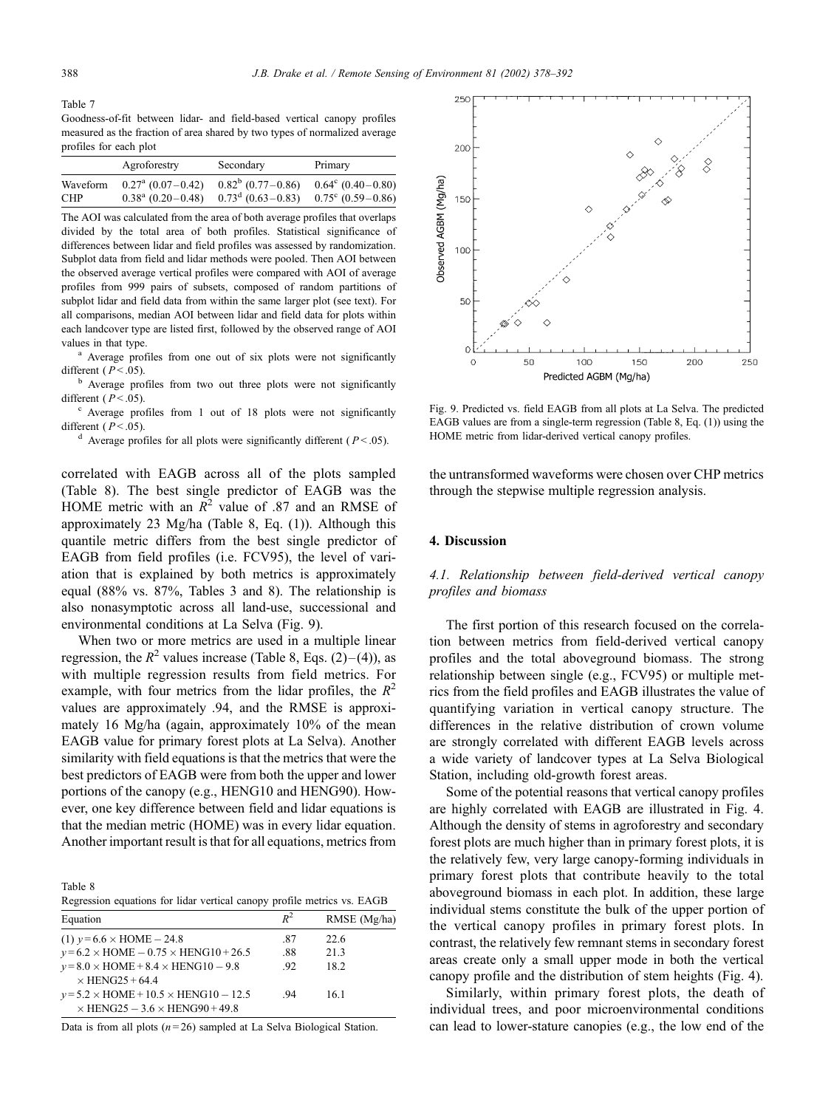Table 7

Goodness-of-fit between lidar- and field-based vertical canopy profiles measured as the fraction of area shared by two types of normalized average profiles for each plot

|            | Agroforestry | Secondary                                                                                 | Primary |
|------------|--------------|-------------------------------------------------------------------------------------------|---------|
| Waveform   |              | $0.27^{\text{a}}$ (0.07-0.42) $0.82^{\text{b}}$ (0.77-0.86) $0.64^{\text{c}}$ (0.40-0.80) |         |
| <b>CHP</b> |              | $0.38^a$ (0.20-0.48) $0.73^d$ (0.63-0.83) $0.75^c$ (0.59-0.86)                            |         |

The AOI was calculated from the area of both average profiles that overlaps divided by the total area of both profiles. Statistical significance of differences between lidar and field profiles was assessed by randomization. Subplot data from field and lidar methods were pooled. Then AOI between the observed average vertical profiles were compared with AOI of average profiles from 999 pairs of subsets, composed of random partitions of subplot lidar and field data from within the same larger plot (see text). For all comparisons, median AOI between lidar and field data for plots within each landcover type are listed first, followed by the observed range of AOI values in that type.<br><sup>a</sup> Average profiles from one out of six plots were not significantly

different ( $P < .05$ ).<br><sup>b</sup> Average profiles from two out three plots were not significantly

different ( $P < .05$ ).<br><sup>c</sup> Average profiles from 1 out of 18 plots were not significantly

different ( $P < .05$ ).<br>d Average profiles for all plots were significantly different ( $P < .05$ ).

correlated with EAGB across all of the plots sampled (Table 8). The best single predictor of EAGB was the HOME metric with an  $R^2$  value of .87 and an RMSE of approximately 23 Mg/ha (Table 8, Eq. (1)). Although this quantile metric differs from the best single predictor of EAGB from field profiles (i.e. FCV95), the level of variation that is explained by both metrics is approximately equal (88% vs. 87%, Tables 3 and 8). The relationship is also nonasymptotic across all land-use, successional and environmental conditions at La Selva (Fig. 9).

When two or more metrics are used in a multiple linear regression, the  $R^2$  values increase (Table 8, Eqs. (2)–(4)), as with multiple regression results from field metrics. For example, with four metrics from the lidar profiles, the  $R^2$ values are approximately .94, and the RMSE is approximately 16 Mg/ha (again, approximately 10% of the mean EAGB value for primary forest plots at La Selva). Another similarity with field equations is that the metrics that were the best predictors of EAGB were from both the upper and lower portions of the canopy (e.g., HENG10 and HENG90). However, one key difference between field and lidar equations is that the median metric (HOME) was in every lidar equation. Another important result is that for all equations, metrics from

Table 8

| Regression equations for lidar vertical canopy profile metrics vs. EAGB |
|-------------------------------------------------------------------------|
|-------------------------------------------------------------------------|

| Equation                                            | $R^2$ | RMSE (Mg/ha) |
|-----------------------------------------------------|-------|--------------|
| $(1)$ y=6.6 × HOME – 24.8                           | -87   | 22.6         |
| $v = 6.2 \times$ HOME $- 0.75 \times$ HENG10 + 26.5 | .88   | 21.3         |
| $v = 8.0 \times$ HOME + 8.4 $\times$ HENG10 - 9.8   | -92.  | 18.2         |
| $\times$ HENG25 + 64.4                              |       |              |
| $v = 5.2 \times$ HOME + 10.5 $\times$ HENG10 - 12.5 | 94    | 161          |
| $\times$ HENG25 - 3.6 $\times$ HENG90 + 49.8        |       |              |

Data is from all plots  $(n=26)$  sampled at La Selva Biological Station.



Fig. 9. Predicted vs. field EAGB from all plots at La Selva. The predicted EAGB values are from a single-term regression (Table 8, Eq. (1)) using the HOME metric from lidar-derived vertical canopy profiles.

the untransformed waveforms were chosen over CHP metrics through the stepwise multiple regression analysis.

## 4. Discussion

# 4.1. Relationship between field-derived vertical canopy profiles and biomass

The first portion of this research focused on the correlation between metrics from field-derived vertical canopy profiles and the total aboveground biomass. The strong relationship between single (e.g., FCV95) or multiple metrics from the field profiles and EAGB illustrates the value of quantifying variation in vertical canopy structure. The differences in the relative distribution of crown volume are strongly correlated with different EAGB levels across a wide variety of landcover types at La Selva Biological Station, including old-growth forest areas.

Some of the potential reasons that vertical canopy profiles are highly correlated with EAGB are illustrated in Fig. 4. Although the density of stems in agroforestry and secondary forest plots are much higher than in primary forest plots, it is the relatively few, very large canopy-forming individuals in primary forest plots that contribute heavily to the total aboveground biomass in each plot. In addition, these large individual stems constitute the bulk of the upper portion of the vertical canopy profiles in primary forest plots. In contrast, the relatively few remnant stems in secondary forest areas create only a small upper mode in both the vertical canopy profile and the distribution of stem heights (Fig. 4).

Similarly, within primary forest plots, the death of individual trees, and poor microenvironmental conditions can lead to lower-stature canopies (e.g., the low end of the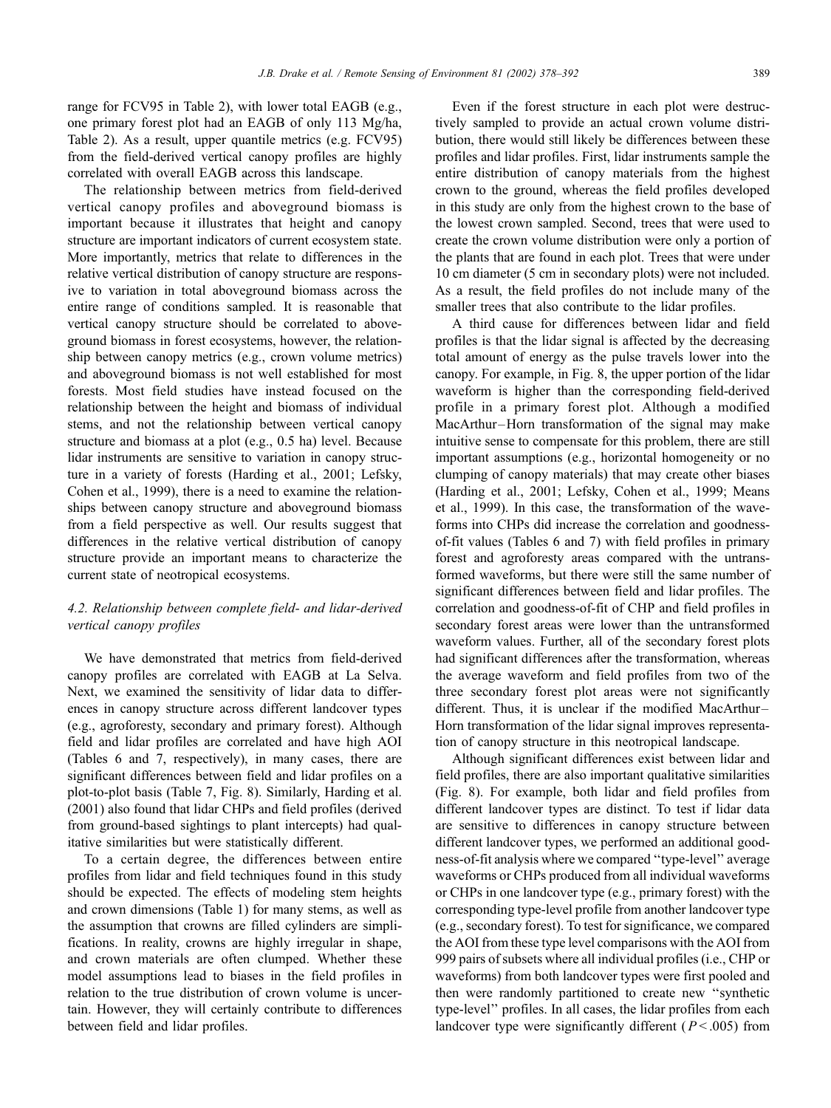range for FCV95 in Table 2), with lower total EAGB (e.g., one primary forest plot had an EAGB of only 113 Mg/ha, Table 2). As a result, upper quantile metrics (e.g. FCV95) from the field-derived vertical canopy profiles are highly correlated with overall EAGB across this landscape.

The relationship between metrics from field-derived vertical canopy profiles and aboveground biomass is important because it illustrates that height and canopy structure are important indicators of current ecosystem state. More importantly, metrics that relate to differences in the relative vertical distribution of canopy structure are responsive to variation in total aboveground biomass across the entire range of conditions sampled. It is reasonable that vertical canopy structure should be correlated to aboveground biomass in forest ecosystems, however, the relationship between canopy metrics (e.g., crown volume metrics) and aboveground biomass is not well established for most forests. Most field studies have instead focused on the relationship between the height and biomass of individual stems, and not the relationship between vertical canopy structure and biomass at a plot (e.g., 0.5 ha) level. Because lidar instruments are sensitive to variation in canopy structure in a variety of forests (Harding et al., 2001; Lefsky, Cohen et al., 1999), there is a need to examine the relationships between canopy structure and aboveground biomass from a field perspective as well. Our results suggest that differences in the relative vertical distribution of canopy structure provide an important means to characterize the current state of neotropical ecosystems.

# 4.2. Relationship between complete field- and lidar-derived vertical canopy profiles

We have demonstrated that metrics from field-derived canopy profiles are correlated with EAGB at La Selva. Next, we examined the sensitivity of lidar data to differences in canopy structure across different landcover types (e.g., agroforesty, secondary and primary forest). Although field and lidar profiles are correlated and have high AOI (Tables 6 and 7, respectively), in many cases, there are significant differences between field and lidar profiles on a plot-to-plot basis (Table 7, Fig. 8). Similarly, Harding et al. (2001) also found that lidar CHPs and field profiles (derived from ground-based sightings to plant intercepts) had qualitative similarities but were statistically different.

To a certain degree, the differences between entire profiles from lidar and field techniques found in this study should be expected. The effects of modeling stem heights and crown dimensions (Table 1) for many stems, as well as the assumption that crowns are filled cylinders are simplifications. In reality, crowns are highly irregular in shape, and crown materials are often clumped. Whether these model assumptions lead to biases in the field profiles in relation to the true distribution of crown volume is uncertain. However, they will certainly contribute to differences between field and lidar profiles.

Even if the forest structure in each plot were destructively sampled to provide an actual crown volume distribution, there would still likely be differences between these profiles and lidar profiles. First, lidar instruments sample the entire distribution of canopy materials from the highest crown to the ground, whereas the field profiles developed in this study are only from the highest crown to the base of the lowest crown sampled. Second, trees that were used to create the crown volume distribution were only a portion of the plants that are found in each plot. Trees that were under 10 cm diameter (5 cm in secondary plots) were not included. As a result, the field profiles do not include many of the smaller trees that also contribute to the lidar profiles.

A third cause for differences between lidar and field profiles is that the lidar signal is affected by the decreasing total amount of energy as the pulse travels lower into the canopy. For example, in Fig. 8, the upper portion of the lidar waveform is higher than the corresponding field-derived profile in a primary forest plot. Although a modified MacArthur-Horn transformation of the signal may make intuitive sense to compensate for this problem, there are still important assumptions (e.g., horizontal homogeneity or no clumping of canopy materials) that may create other biases (Harding et al., 2001; Lefsky, Cohen et al., 1999; Means et al., 1999). In this case, the transformation of the waveforms into CHPs did increase the correlation and goodnessof-fit values (Tables 6 and 7) with field profiles in primary forest and agroforesty areas compared with the untransformed waveforms, but there were still the same number of significant differences between field and lidar profiles. The correlation and goodness-of-fit of CHP and field profiles in secondary forest areas were lower than the untransformed waveform values. Further, all of the secondary forest plots had significant differences after the transformation, whereas the average waveform and field profiles from two of the three secondary forest plot areas were not significantly different. Thus, it is unclear if the modified MacArthur– Horn transformation of the lidar signal improves representation of canopy structure in this neotropical landscape.

Although significant differences exist between lidar and field profiles, there are also important qualitative similarities (Fig. 8). For example, both lidar and field profiles from different landcover types are distinct. To test if lidar data are sensitive to differences in canopy structure between different landcover types, we performed an additional goodness-of-fit analysis where we compared ''type-level'' average waveforms or CHPs produced from all individual waveforms or CHPs in one landcover type (e.g., primary forest) with the corresponding type-level profile from another landcover type (e.g., secondary forest). To test for significance, we compared the AOI from these type level comparisons with the AOI from 999 pairs of subsets where all individual profiles (i.e., CHP or waveforms) from both landcover types were first pooled and then were randomly partitioned to create new ''synthetic type-level'' profiles. In all cases, the lidar profiles from each landcover type were significantly different ( $P < .005$ ) from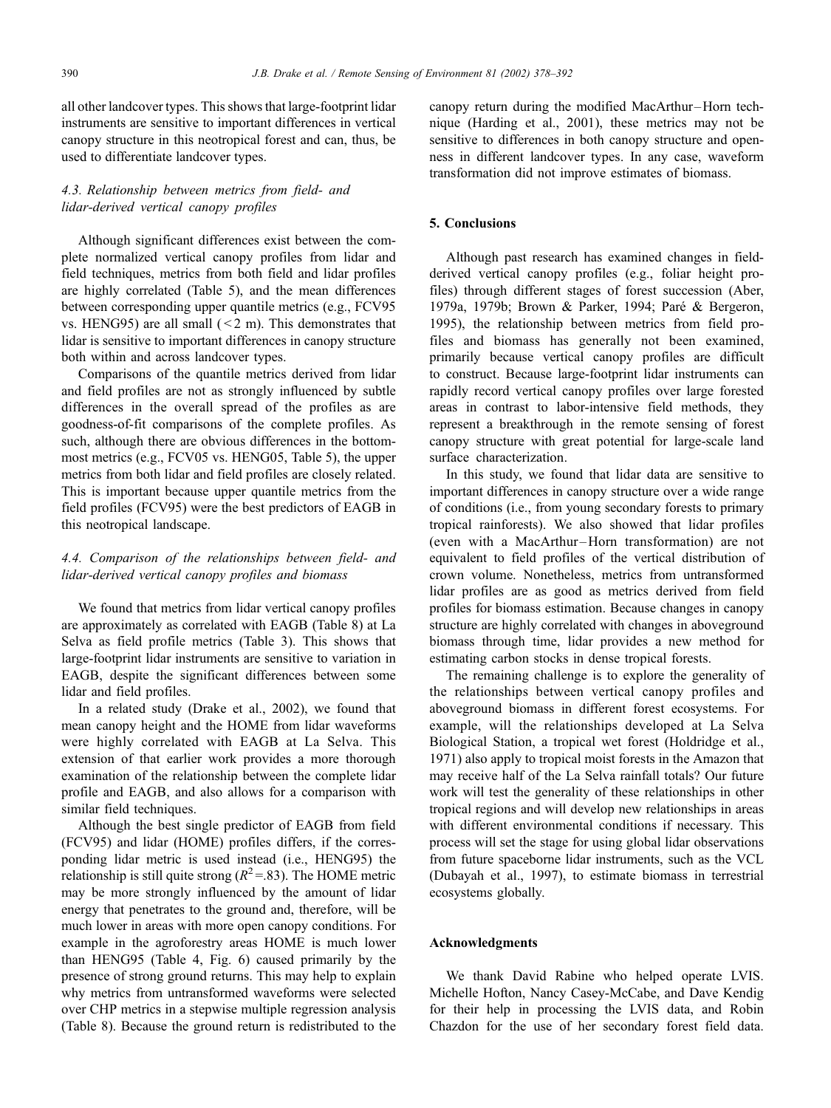all other landcover types. This shows that large-footprint lidar instruments are sensitive to important differences in vertical canopy structure in this neotropical forest and can, thus, be used to differentiate landcover types.

# 4.3. Relationship between metrics from field- and lidar-derived vertical canopy profiles

Although significant differences exist between the complete normalized vertical canopy profiles from lidar and field techniques, metrics from both field and lidar profiles are highly correlated (Table 5), and the mean differences between corresponding upper quantile metrics (e.g., FCV95 vs. HENG95) are all small  $(< 2 \text{ m})$ . This demonstrates that lidar is sensitive to important differences in canopy structure both within and across landcover types.

Comparisons of the quantile metrics derived from lidar and field profiles are not as strongly influenced by subtle differences in the overall spread of the profiles as are goodness-of-fit comparisons of the complete profiles. As such, although there are obvious differences in the bottommost metrics (e.g., FCV05 vs. HENG05, Table 5), the upper metrics from both lidar and field profiles are closely related. This is important because upper quantile metrics from the field profiles (FCV95) were the best predictors of EAGB in this neotropical landscape.

# 4.4. Comparison of the relationships between field- and lidar-derived vertical canopy profiles and biomass

We found that metrics from lidar vertical canopy profiles are approximately as correlated with EAGB (Table 8) at La Selva as field profile metrics (Table 3). This shows that large-footprint lidar instruments are sensitive to variation in EAGB, despite the significant differences between some lidar and field profiles.

In a related study (Drake et al., 2002), we found that mean canopy height and the HOME from lidar waveforms were highly correlated with EAGB at La Selva. This extension of that earlier work provides a more thorough examination of the relationship between the complete lidar profile and EAGB, and also allows for a comparison with similar field techniques.

Although the best single predictor of EAGB from field (FCV95) and lidar (HOME) profiles differs, if the corresponding lidar metric is used instead (i.e., HENG95) the relationship is still quite strong ( $R^2 = .83$ ). The HOME metric may be more strongly influenced by the amount of lidar energy that penetrates to the ground and, therefore, will be much lower in areas with more open canopy conditions. For example in the agroforestry areas HOME is much lower than HENG95 (Table 4, Fig. 6) caused primarily by the presence of strong ground returns. This may help to explain why metrics from untransformed waveforms were selected over CHP metrics in a stepwise multiple regression analysis (Table 8). Because the ground return is redistributed to the

canopy return during the modified MacArthur–Horn technique (Harding et al., 2001), these metrics may not be sensitive to differences in both canopy structure and openness in different landcover types. In any case, waveform transformation did not improve estimates of biomass.

## 5. Conclusions

Although past research has examined changes in fieldderived vertical canopy profiles (e.g., foliar height profiles) through different stages of forest succession (Aber, 1979a, 1979b; Brown & Parker, 1994; Pare´ & Bergeron, 1995), the relationship between metrics from field profiles and biomass has generally not been examined, primarily because vertical canopy profiles are difficult to construct. Because large-footprint lidar instruments can rapidly record vertical canopy profiles over large forested areas in contrast to labor-intensive field methods, they represent a breakthrough in the remote sensing of forest canopy structure with great potential for large-scale land surface characterization.

In this study, we found that lidar data are sensitive to important differences in canopy structure over a wide range of conditions (i.e., from young secondary forests to primary tropical rainforests). We also showed that lidar profiles (even with a MacArthur –Horn transformation) are not equivalent to field profiles of the vertical distribution of crown volume. Nonetheless, metrics from untransformed lidar profiles are as good as metrics derived from field profiles for biomass estimation. Because changes in canopy structure are highly correlated with changes in aboveground biomass through time, lidar provides a new method for estimating carbon stocks in dense tropical forests.

The remaining challenge is to explore the generality of the relationships between vertical canopy profiles and aboveground biomass in different forest ecosystems. For example, will the relationships developed at La Selva Biological Station, a tropical wet forest (Holdridge et al., 1971) also apply to tropical moist forests in the Amazon that may receive half of the La Selva rainfall totals? Our future work will test the generality of these relationships in other tropical regions and will develop new relationships in areas with different environmental conditions if necessary. This process will set the stage for using global lidar observations from future spaceborne lidar instruments, such as the VCL (Dubayah et al., 1997), to estimate biomass in terrestrial ecosystems globally.

#### Acknowledgments

We thank David Rabine who helped operate LVIS. Michelle Hofton, Nancy Casey-McCabe, and Dave Kendig for their help in processing the LVIS data, and Robin Chazdon for the use of her secondary forest field data.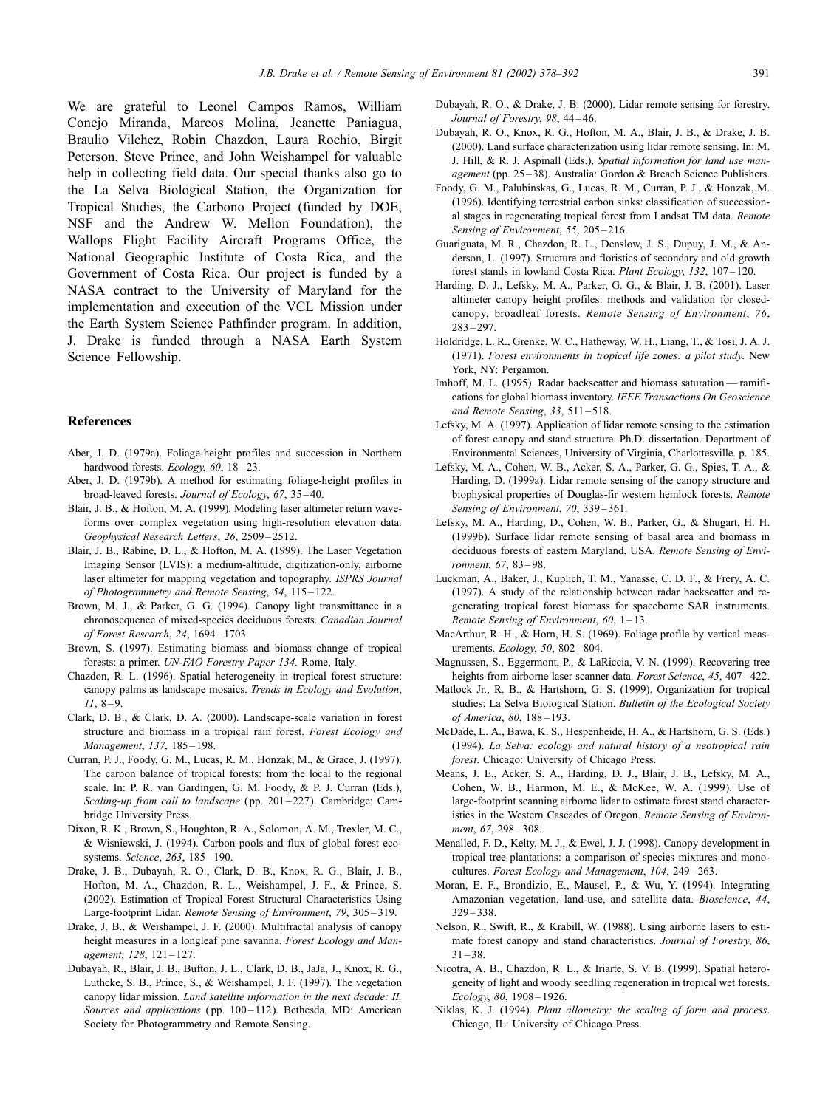We are grateful to Leonel Campos Ramos, William Conejo Miranda, Marcos Molina, Jeanette Paniagua, Braulio Vilchez, Robin Chazdon, Laura Rochio, Birgit Peterson, Steve Prince, and John Weishampel for valuable help in collecting field data. Our special thanks also go to the La Selva Biological Station, the Organization for Tropical Studies, the Carbono Project (funded by DOE, NSF and the Andrew W. Mellon Foundation), the Wallops Flight Facility Aircraft Programs Office, the National Geographic Institute of Costa Rica, and the Government of Costa Rica. Our project is funded by a NASA contract to the University of Maryland for the implementation and execution of the VCL Mission under the Earth System Science Pathfinder program. In addition, J. Drake is funded through a NASA Earth System Science Fellowship.

## References

- Aber, J. D. (1979a). Foliage-height profiles and succession in Northern hardwood forests. Ecology, 60, 18-23.
- Aber, J. D. (1979b). A method for estimating foliage-height profiles in broad-leaved forests. Journal of Ecology, 67, 35-40.
- Blair, J. B., & Hofton, M. A. (1999). Modeling laser altimeter return waveforms over complex vegetation using high-resolution elevation data. Geophysical Research Letters, 26, 2509 – 2512.
- Blair, J. B., Rabine, D. L., & Hofton, M. A. (1999). The Laser Vegetation Imaging Sensor (LVIS): a medium-altitude, digitization-only, airborne laser altimeter for mapping vegetation and topography. ISPRS Journal of Photogrammetry and Remote Sensing, 54, 115 – 122.
- Brown, M. J., & Parker, G. G. (1994). Canopy light transmittance in a chronosequence of mixed-species deciduous forests. Canadian Journal of Forest Research, 24, 1694 – 1703.
- Brown, S. (1997). Estimating biomass and biomass change of tropical forests: a primer. UN-FAO Forestry Paper 134. Rome, Italy.
- Chazdon, R. L. (1996). Spatial heterogeneity in tropical forest structure: canopy palms as landscape mosaics. Trends in Ecology and Evolution,  $11, 8 - 9.$
- Clark, D. B., & Clark, D. A. (2000). Landscape-scale variation in forest structure and biomass in a tropical rain forest. Forest Ecology and Management, 137, 185-198.
- Curran, P. J., Foody, G. M., Lucas, R. M., Honzak, M., & Grace, J. (1997). The carbon balance of tropical forests: from the local to the regional scale. In: P. R. van Gardingen, G. M. Foody, & P. J. Curran (Eds.), Scaling-up from call to landscape (pp. 201-227). Cambridge: Cambridge University Press.
- Dixon, R. K., Brown, S., Houghton, R. A., Solomon, A. M., Trexler, M. C., & Wisniewski, J. (1994). Carbon pools and flux of global forest ecosystems. Science, 263, 185-190.
- Drake, J. B., Dubayah, R. O., Clark, D. B., Knox, R. G., Blair, J. B., Hofton, M. A., Chazdon, R. L., Weishampel, J. F., & Prince, S. (2002). Estimation of Tropical Forest Structural Characteristics Using Large-footprint Lidar. Remote Sensing of Environment, 79, 305 – 319.
- Drake, J. B., & Weishampel, J. F. (2000). Multifractal analysis of canopy height measures in a longleaf pine savanna. Forest Ecology and Management, 128, 121-127.
- Dubayah, R., Blair, J. B., Bufton, J. L., Clark, D. B., JaJa, J., Knox, R. G., Luthcke, S. B., Prince, S., & Weishampel, J. F. (1997). The vegetation canopy lidar mission. Land satellite information in the next decade: II. Sources and applications (pp. 100-112). Bethesda, MD: American Society for Photogrammetry and Remote Sensing.
- Dubayah, R. O., & Drake, J. B. (2000). Lidar remote sensing for forestry. Journal of Forestry, 98, 44-46.
- Dubayah, R. O., Knox, R. G., Hofton, M. A., Blair, J. B., & Drake, J. B. (2000). Land surface characterization using lidar remote sensing. In: M. J. Hill, & R. J. Aspinall (Eds.), Spatial information for land use management (pp. 25-38). Australia: Gordon & Breach Science Publishers.
- Foody, G. M., Palubinskas, G., Lucas, R. M., Curran, P. J., & Honzak, M. (1996). Identifying terrestrial carbon sinks: classification of successional stages in regenerating tropical forest from Landsat TM data. Remote Sensing of Environment, 55, 205-216.
- Guariguata, M. R., Chazdon, R. L., Denslow, J. S., Dupuy, J. M., & Anderson, L. (1997). Structure and floristics of secondary and old-growth forest stands in lowland Costa Rica. Plant Ecology, 132, 107-120.
- Harding, D. J., Lefsky, M. A., Parker, G. G., & Blair, J. B. (2001). Laser altimeter canopy height profiles: methods and validation for closedcanopy, broadleaf forests. Remote Sensing of Environment, 76,  $283 - 297.$
- Holdridge, L. R., Grenke, W. C., Hatheway, W. H., Liang, T., & Tosi, J. A. J. (1971). Forest environments in tropical life zones: a pilot study. New York, NY: Pergamon.
- Imhoff, M. L. (1995). Radar backscatter and biomass saturation ramifications for global biomass inventory. IEEE Transactions On Geoscience and Remote Sensing, 33, 511-518.
- Lefsky, M. A. (1997). Application of lidar remote sensing to the estimation of forest canopy and stand structure. Ph.D. dissertation. Department of Environmental Sciences, University of Virginia, Charlottesville. p. 185.
- Lefsky, M. A., Cohen, W. B., Acker, S. A., Parker, G. G., Spies, T. A., & Harding, D. (1999a). Lidar remote sensing of the canopy structure and biophysical properties of Douglas-fir western hemlock forests. Remote Sensing of Environment, 70, 339-361.
- Lefsky, M. A., Harding, D., Cohen, W. B., Parker, G., & Shugart, H. H. (1999b). Surface lidar remote sensing of basal area and biomass in deciduous forests of eastern Maryland, USA. Remote Sensing of Environment, 67, 83 – 98.
- Luckman, A., Baker, J., Kuplich, T. M., Yanasse, C. D. F., & Frery, A. C. (1997). A study of the relationship between radar backscatter and regenerating tropical forest biomass for spaceborne SAR instruments. Remote Sensing of Environment,  $60$ ,  $1-13$ .
- MacArthur, R. H., & Horn, H. S. (1969). Foliage profile by vertical measurements. Ecology, 50, 802 – 804.
- Magnussen, S., Eggermont, P., & LaRiccia, V. N. (1999). Recovering tree heights from airborne laser scanner data. Forest Science, 45, 407-422.
- Matlock Jr., R. B., & Hartshorn, G. S. (1999). Organization for tropical studies: La Selva Biological Station. Bulletin of the Ecological Society of America, 80, 188 – 193.
- McDade, L. A., Bawa, K. S., Hespenheide, H. A., & Hartshorn, G. S. (Eds.) (1994). La Selva: ecology and natural history of a neotropical rain forest. Chicago: University of Chicago Press.
- Means, J. E., Acker, S. A., Harding, D. J., Blair, J. B., Lefsky, M. A., Cohen, W. B., Harmon, M. E., & McKee, W. A. (1999). Use of large-footprint scanning airborne lidar to estimate forest stand characteristics in the Western Cascades of Oregon. Remote Sensing of Environment, 67, 298-308.
- Menalled, F. D., Kelty, M. J., & Ewel, J. J. (1998). Canopy development in tropical tree plantations: a comparison of species mixtures and monocultures. Forest Ecology and Management, 104, 249-263.
- Moran, E. F., Brondizio, E., Mausel, P., & Wu, Y. (1994). Integrating Amazonian vegetation, land-use, and satellite data. Bioscience, 44, 329 – 338.
- Nelson, R., Swift, R., & Krabill, W. (1988). Using airborne lasers to estimate forest canopy and stand characteristics. Journal of Forestry, 86,  $31 - 38$ .
- Nicotra, A. B., Chazdon, R. L., & Iriarte, S. V. B. (1999). Spatial heterogeneity of light and woody seedling regeneration in tropical wet forests. Ecology, 80, 1908 – 1926.
- Niklas, K. J. (1994). Plant allometry: the scaling of form and process. Chicago, IL: University of Chicago Press.